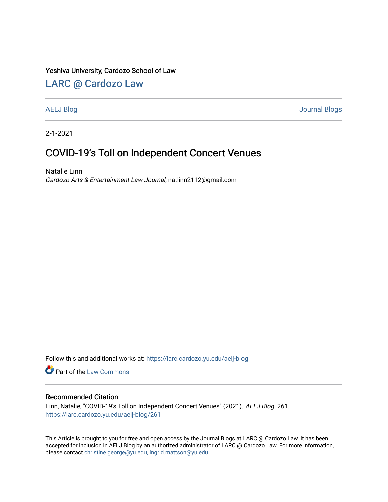### Yeshiva University, Cardozo School of Law

## [LARC @ Cardozo Law](https://larc.cardozo.yu.edu/)

[AELJ Blog](https://larc.cardozo.yu.edu/aelj-blog) [Journal Blogs](https://larc.cardozo.yu.edu/journal-blogs) 

2-1-2021

# COVID-19's Toll on Independent Concert Venues

Natalie Linn Cardozo Arts & Entertainment Law Journal, natlinn2112@gmail.com

Follow this and additional works at: [https://larc.cardozo.yu.edu/aelj-blog](https://larc.cardozo.yu.edu/aelj-blog?utm_source=larc.cardozo.yu.edu%2Faelj-blog%2F261&utm_medium=PDF&utm_campaign=PDFCoverPages) 

Part of the [Law Commons](http://network.bepress.com/hgg/discipline/578?utm_source=larc.cardozo.yu.edu%2Faelj-blog%2F261&utm_medium=PDF&utm_campaign=PDFCoverPages)

#### Recommended Citation

Linn, Natalie, "COVID-19's Toll on Independent Concert Venues" (2021). AELJ Blog. 261. [https://larc.cardozo.yu.edu/aelj-blog/261](https://larc.cardozo.yu.edu/aelj-blog/261?utm_source=larc.cardozo.yu.edu%2Faelj-blog%2F261&utm_medium=PDF&utm_campaign=PDFCoverPages) 

This Article is brought to you for free and open access by the Journal Blogs at LARC @ Cardozo Law. It has been accepted for inclusion in AELJ Blog by an authorized administrator of LARC @ Cardozo Law. For more information, please contact [christine.george@yu.edu, ingrid.mattson@yu.edu.](mailto:christine.george@yu.edu,%20ingrid.mattson@yu.edu)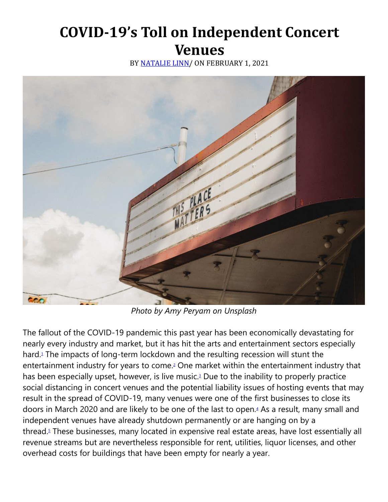# **COVID-19's Toll on Independent Concert Venues**

BY [NATALIE LINN/](https://cardozoaelj.com/author/natalie-linn/) ON FEBRUARY 1, 2021



*Photo by Amy Peryam on Unsplash*

The fallout of the COVID-19 pandemic this past year has been economically devastating for nearly every industry and market, but it has hit the arts and entertainment sectors especially hard[.](https://cardozoaelj.com/2021/02/01/covid-19s-toll-on-independent-concert-venues/#easy-footnote-bottom-1-6618)<sup>1</sup> The impacts of long-term lockdown and the resulting recession will stunt the entertainment industry for years to come[.](https://cardozoaelj.com/2021/02/01/covid-19s-toll-on-independent-concert-venues/#easy-footnote-bottom-2-6618)<sup>2</sup> One market within the entertainment industry that has been especially upset, however, is live music[.](https://cardozoaelj.com/2021/02/01/covid-19s-toll-on-independent-concert-venues/#easy-footnote-bottom-3-6618)<sup>3</sup> Due to the inability to properly practice social distancing in concert venues and the potential liability issues of hosting events that may result in the spread of COVID-19, many venues were one of the first businesses to close its doors in March 2020 and are likely to be one of the last to open[.](https://cardozoaelj.com/2021/02/01/covid-19s-toll-on-independent-concert-venues/#easy-footnote-bottom-4-6618)<sup>4</sup> As a result, many small and independent venues have already shutdown permanently or are hanging on by a thread[.](https://cardozoaelj.com/2021/02/01/covid-19s-toll-on-independent-concert-venues/#easy-footnote-bottom-5-6618)<sup>5</sup> These businesses, many located in expensive real estate areas, have lost essentially all revenue streams but are nevertheless responsible for rent, utilities, liquor licenses, and other overhead costs for buildings that have been empty for nearly a year.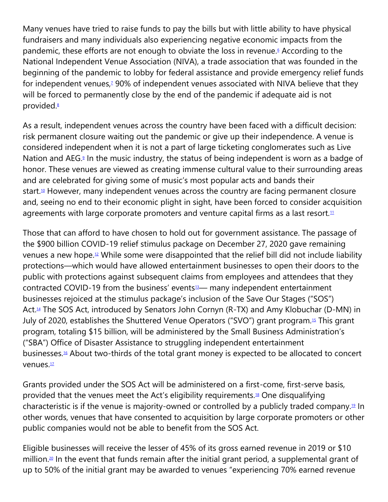Many venues have tried to raise funds to pay the bills but with little ability to have physical fundraisers and many individuals also experiencing negative economic impacts from the pandemic, these efforts are not enough to obviate the loss in revenue[.](https://cardozoaelj.com/2021/02/01/covid-19s-toll-on-independent-concert-venues/#easy-footnote-bottom-6-6618)<sup>6</sup> According to the National Independent Venue Association (NIVA), a trade association that was founded in the beginning of the pandemic to lobby for federal assistance and provide emergency relief funds for independent venues[,](https://cardozoaelj.com/2021/02/01/covid-19s-toll-on-independent-concert-venues/#easy-footnote-bottom-7-6618)<sup>7</sup> 90% of independent venues associated with NIVA believe that they will be forced to permanently close by the end of the pandemic if adequate aid is not provided[.](https://cardozoaelj.com/2021/02/01/covid-19s-toll-on-independent-concert-venues/#easy-footnote-bottom-8-6618)<sup>8</sup>

As a result, independent venues across the country have been faced with a difficult decision: risk permanent closure waiting out the pandemic or give up their independence. A venue is considered independent when it is not a part of large ticketing conglomerates such as Live Nation and AEG[.](https://cardozoaelj.com/2021/02/01/covid-19s-toll-on-independent-concert-venues/#easy-footnote-bottom-9-6618)<sup>9</sup> In the music industry, the status of being independent is worn as a badge of honor. These venues are viewed as creating immense cultural value to their surrounding areas and are celebrated for giving some of music's most popular acts and bands their start.<sup>[10](https://cardozoaelj.com/2021/02/01/covid-19s-toll-on-independent-concert-venues/#easy-footnote-bottom-10-6618)</sup> However, many independent venues across the country are facing permanent closure and, seeing no end to their economic plight in sight, have been forced to consider acquisition agreements with large corporate promoters and venture capital firms as a last resort. $11$ 

Those that can afford to have chosen to hold out for government assistance. The passage of the \$900 billion COVID-19 relief stimulus package on December 27, 2020 gave remaining venues a new hope.[12](https://cardozoaelj.com/2021/02/01/covid-19s-toll-on-independent-concert-venues/#easy-footnote-bottom-12-6618) While some were disappointed that the relief bill did not include liability protections—which would have allowed entertainment businesses to open their doors to the public with protections against subsequent claims from employees and attendees that they contracted COVID-19 from the business' events<sup>[13](https://cardozoaelj.com/2021/02/01/covid-19s-toll-on-independent-concert-venues/#easy-footnote-bottom-13-6618)</sup>— many independent entertainment businesses rejoiced at the stimulus package's inclusion of the Save Our Stages ("SOS") Act.<sup>[14](https://cardozoaelj.com/2021/02/01/covid-19s-toll-on-independent-concert-venues/#easy-footnote-bottom-14-6618)</sup> The SOS Act, introduced by Senators John Cornyn (R-TX) and Amy Klobuchar (D-MN) in July of 2020, establishes the Shuttered Venue Operators ("SVO") grant program.<sup>[15](https://cardozoaelj.com/2021/02/01/covid-19s-toll-on-independent-concert-venues/#easy-footnote-bottom-15-6618)</sup> This grant program, totaling \$15 billion, will be administered by the Small Business Administration's ("SBA") Office of Disaster Assistance to struggling independent entertainment businesses.[16](https://cardozoaelj.com/2021/02/01/covid-19s-toll-on-independent-concert-venues/#easy-footnote-bottom-16-6618) About two-thirds of the total grant money is expected to be allocated to concert venues.<sup>[17](https://cardozoaelj.com/2021/02/01/covid-19s-toll-on-independent-concert-venues/#easy-footnote-bottom-17-6618)</sup>

Grants provided under the SOS Act will be administered on a first-come, first-serve basis, provided that the venues meet the Act's eligibility requirements.[18](https://cardozoaelj.com/2021/02/01/covid-19s-toll-on-independent-concert-venues/#easy-footnote-bottom-18-6618) One disqualifying characteristic is if the venue is majority-owned or controlled by a publicly traded company.<sup>[19](https://cardozoaelj.com/2021/02/01/covid-19s-toll-on-independent-concert-venues/#easy-footnote-bottom-19-6618)</sup> In other words, venues that have consented to acquisition by large corporate promoters or other public companies would not be able to benefit from the SOS Act.

Eligible businesses will receive the lesser of 45% of its gross earned revenue in 2019 or \$10 million.<sup>[20](https://cardozoaelj.com/2021/02/01/covid-19s-toll-on-independent-concert-venues/#easy-footnote-bottom-20-6618)</sup> In the event that funds remain after the initial grant period, a supplemental grant of up to 50% of the initial grant may be awarded to venues "experiencing 70% earned revenue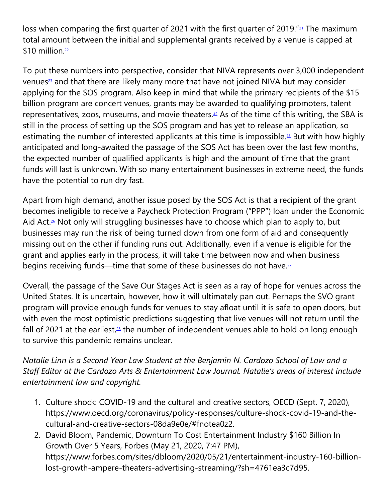loss when comparing the first quarter of 20[21](https://cardozoaelj.com/2021/02/01/covid-19s-toll-on-independent-concert-venues/#easy-footnote-bottom-21-6618) with the first quarter of 2019."<sup>21</sup> The maximum total amount between the initial and supplemental grants received by a venue is capped at \$10 million. $22$ 

To put these numbers into perspective, consider that NIVA represents over 3,000 independent venues<sup>[23](https://cardozoaelj.com/2021/02/01/covid-19s-toll-on-independent-concert-venues/#easy-footnote-bottom-23-6618)</sup> and that there are likely many more that have not joined NIVA but may consider applying for the SOS program. Also keep in mind that while the primary recipients of the \$15 billion program are concert venues, grants may be awarded to qualifying promoters, talent representatives, zoos, museums, and movie theaters.[24](https://cardozoaelj.com/2021/02/01/covid-19s-toll-on-independent-concert-venues/#easy-footnote-bottom-24-6618) As of the time of this writing, the SBA is still in the process of setting up the SOS program and has yet to release an application, so estimating the number of interested applicants at this time is impossible.<sup>[25](https://cardozoaelj.com/2021/02/01/covid-19s-toll-on-independent-concert-venues/#easy-footnote-bottom-25-6618)</sup> But with how highly anticipated and long-awaited the passage of the SOS Act has been over the last few months, the expected number of qualified applicants is high and the amount of time that the grant funds will last is unknown. With so many entertainment businesses in extreme need, the funds have the potential to run dry fast.

Apart from high demand, another issue posed by the SOS Act is that a recipient of the grant becomes ineligible to receive a Paycheck Protection Program ("PPP") loan under the Economic Aid Act.<sup>[26](https://cardozoaelj.com/2021/02/01/covid-19s-toll-on-independent-concert-venues/#easy-footnote-bottom-26-6618)</sup> Not only will struggling businesses have to choose which plan to apply to, but businesses may run the risk of being turned down from one form of aid and consequently missing out on the other if funding runs out. Additionally, even if a venue is eligible for the grant and applies early in the process, it will take time between now and when business begins receiving funds—time that some of these businesses do not have.<sup>[27](https://cardozoaelj.com/2021/02/01/covid-19s-toll-on-independent-concert-venues/#easy-footnote-bottom-27-6618)</sup>

Overall, the passage of the Save Our Stages Act is seen as a ray of hope for venues across the United States. It is uncertain, however, how it will ultimately pan out. Perhaps the SVO grant program will provide enough funds for venues to stay afloat until it is safe to open doors, but with even the most optimistic predictions suggesting that live venues will not return until the fall of 2021 at the earliest, $28$  the number of independent venues able to hold on long enough to survive this pandemic remains unclear.

*Natalie Linn is a Second Year Law Student at the Benjamin N. Cardozo School of Law and a Staff Editor at the Cardozo Arts & Entertainment Law Journal. Natalie's areas of interest include entertainment law and copyright.*

- 1. Culture shock: COVID-19 and the cultural and creative sectors, OECD (Sept. 7, 2020), https://www.oecd.org/coronavirus/policy-responses/culture-shock-covid-19-and-thecultural-and-creative-sectors-08da9e0e/#fnotea0z2.
- 2. David Bloom, Pandemic, Downturn To Cost Entertainment Industry \$160 Billion In Growth Over 5 Years, Forbes (May 21, 2020, 7:47 PM), https://www.forbes.com/sites/dbloom/2020/05/21/entertainment-industry-160-billionlost-growth-ampere-theaters-advertising-streaming/?sh=4761ea3c7d95.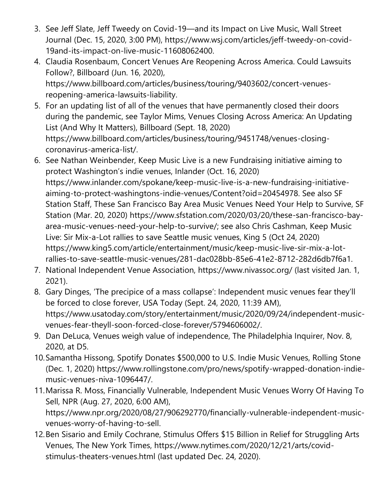- 3. See Jeff Slate, Jeff Tweedy on Covid-19—and its Impact on Live Music, Wall Street Journal (Dec. 15, 2020, 3:00 PM), https://www.wsj.com/articles/jeff-tweedy-on-covid-19and-its-impact-on-live-music-11608062400.
- 4. Claudia Rosenbaum, Concert Venues Are Reopening Across America. Could Lawsuits Follow?, Billboard (Jun. 16, 2020), https://www.billboard.com/articles/business/touring/9403602/concert-venuesreopening-america-lawsuits-liability.
- 5. For an updating list of all of the venues that have permanently closed their doors during the pandemic, see Taylor Mims, Venues Closing Across America: An Updating List (And Why It Matters), Billboard (Sept. 18, 2020) https://www.billboard.com/articles/business/touring/9451748/venues-closingcoronavirus-america-list/.
- 6. See Nathan Weinbender, Keep Music Live is a new Fundraising initiative aiming to protect Washington's indie venues, Inlander (Oct. 16, 2020) https://www.inlander.com/spokane/keep-music-live-is-a-new-fundraising-initiativeaiming-to-protect-washingtons-indie-venues/Content?oid=20454978. See also SF Station Staff, These San Francisco Bay Area Music Venues Need Your Help to Survive, SF Station (Mar. 20, 2020) https://www.sfstation.com/2020/03/20/these-san-francisco-bayarea-music-venues-need-your-help-to-survive/; see also Chris Cashman, Keep Music Live: Sir Mix-a-Lot rallies to save Seattle music venues, King 5 (Oct 24, 2020) https://www.king5.com/article/entertainment/music/keep-music-live-sir-mix-a-lotrallies-to-save-seattle-music-venues/281-dac028bb-85e6-41e2-8712-282d6db7f6a1.
- 7. National Independent Venue Association, https://www.nivassoc.org/ (last visited Jan. 1, 2021).
- 8. Gary Dinges, 'The precipice of a mass collapse': Independent music venues fear they'll be forced to close forever, USA Today (Sept. 24, 2020, 11:39 AM), https://www.usatoday.com/story/entertainment/music/2020/09/24/independent-musicvenues-fear-theyll-soon-forced-close-forever/5794606002/.
- 9. Dan DeLuca, Venues weigh value of independence, The Philadelphia Inquirer, Nov. 8, 2020, at D5.
- 10.Samantha Hissong, Spotify Donates \$500,000 to U.S. Indie Music Venues, Rolling Stone (Dec. 1, 2020) https://www.rollingstone.com/pro/news/spotify-wrapped-donation-indiemusic-venues-niva-1096447/.
- 11.Marissa R. Moss, Financially Vulnerable, Independent Music Venues Worry Of Having To Sell, NPR (Aug. 27, 2020, 6:00 AM), https://www.npr.org/2020/08/27/906292770/financially-vulnerable-independent-musicvenues-worry-of-having-to-sell.
- 12.Ben Sisario and Emily Cochrane, Stimulus Offers \$15 Billion in Relief for Struggling Arts Venues, The New York Times, https://www.nytimes.com/2020/12/21/arts/covidstimulus-theaters-venues.html (last updated Dec. 24, 2020).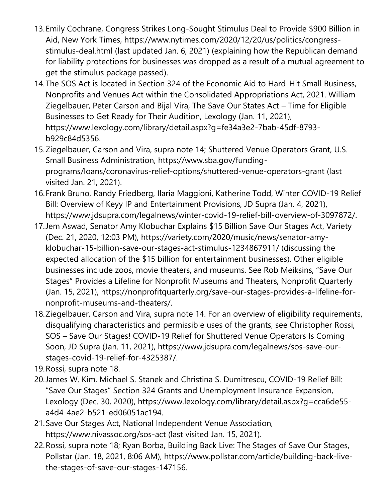- 13.Emily Cochrane, Congress Strikes Long-Sought Stimulus Deal to Provide \$900 Billion in Aid, New York Times, https://www.nytimes.com/2020/12/20/us/politics/congressstimulus-deal.html (last updated Jan. 6, 2021) (explaining how the Republican demand for liability protections for businesses was dropped as a result of a mutual agreement to get the stimulus package passed).
- 14.The SOS Act is located in Section 324 of the Economic Aid to Hard-Hit Small Business, Nonprofits and Venues Act within the Consolidated Appropriations Act, 2021. William Ziegelbauer, Peter Carson and Bijal Vira, The Save Our States Act – Time for Eligible Businesses to Get Ready for Their Audition, Lexology (Jan. 11, 2021), https://www.lexology.com/library/detail.aspx?g=fe34a3e2-7bab-45df-8793 b929c84d5356.
- 15.Ziegelbauer, Carson and Vira, supra note 14; Shuttered Venue Operators Grant, U.S. Small Business Administration, https://www.sba.gov/fundingprograms/loans/coronavirus-relief-options/shuttered-venue-operators-grant (last visited Jan. 21, 2021).
- 16.Frank Bruno, Randy Friedberg, Ilaria Maggioni, Katherine Todd, Winter COVID-19 Relief Bill: Overview of Keyy IP and Entertainment Provisions, JD Supra (Jan. 4, 2021), https://www.jdsupra.com/legalnews/winter-covid-19-relief-bill-overview-of-3097872/.
- 17.Jem Aswad, Senator Amy Klobuchar Explains \$15 Billion Save Our Stages Act, Variety (Dec. 21, 2020, 12:03 PM), https://variety.com/2020/music/news/senator-amyklobuchar-15-billion-save-our-stages-act-stimulus-1234867911/ (discussing the expected allocation of the \$15 billion for entertainment businesses). Other eligible businesses include zoos, movie theaters, and museums. See Rob Meiksins, "Save Our Stages" Provides a Lifeline for Nonprofit Museums and Theaters, Nonprofit Quarterly (Jan. 15, 2021), https://nonprofitquarterly.org/save-our-stages-provides-a-lifeline-fornonprofit-museums-and-theaters/.
- 18.Ziegelbauer, Carson and Vira, supra note 14. For an overview of eligibility requirements, disqualifying characteristics and permissible uses of the grants, see Christopher Rossi, SOS – Save Our Stages! COVID-19 Relief for Shuttered Venue Operators Is Coming Soon, JD Supra (Jan. 11, 2021), https://www.jdsupra.com/legalnews/sos-save-ourstages-covid-19-relief-for-4325387/.
- 19.Rossi, supra note 18.
- 20.James W. Kim, Michael S. Stanek and Christina S. Dumitrescu, COVID-19 Relief Bill: "Save Our Stages" Section 324 Grants and Unemployment Insurance Expansion, Lexology (Dec. 30, 2020), https://www.lexology.com/library/detail.aspx?g=cca6de55 a4d4-4ae2-b521-ed06051ac194.
- 21.Save Our Stages Act, National Independent Venue Association, https://www.nivassoc.org/sos-act (last visited Jan. 15, 2021).
- 22.Rossi, supra note 18; Ryan Borba, Building Back Live: The Stages of Save Our Stages, Pollstar (Jan. 18, 2021, 8:06 AM), https://www.pollstar.com/article/building-back-livethe-stages-of-save-our-stages-147156.